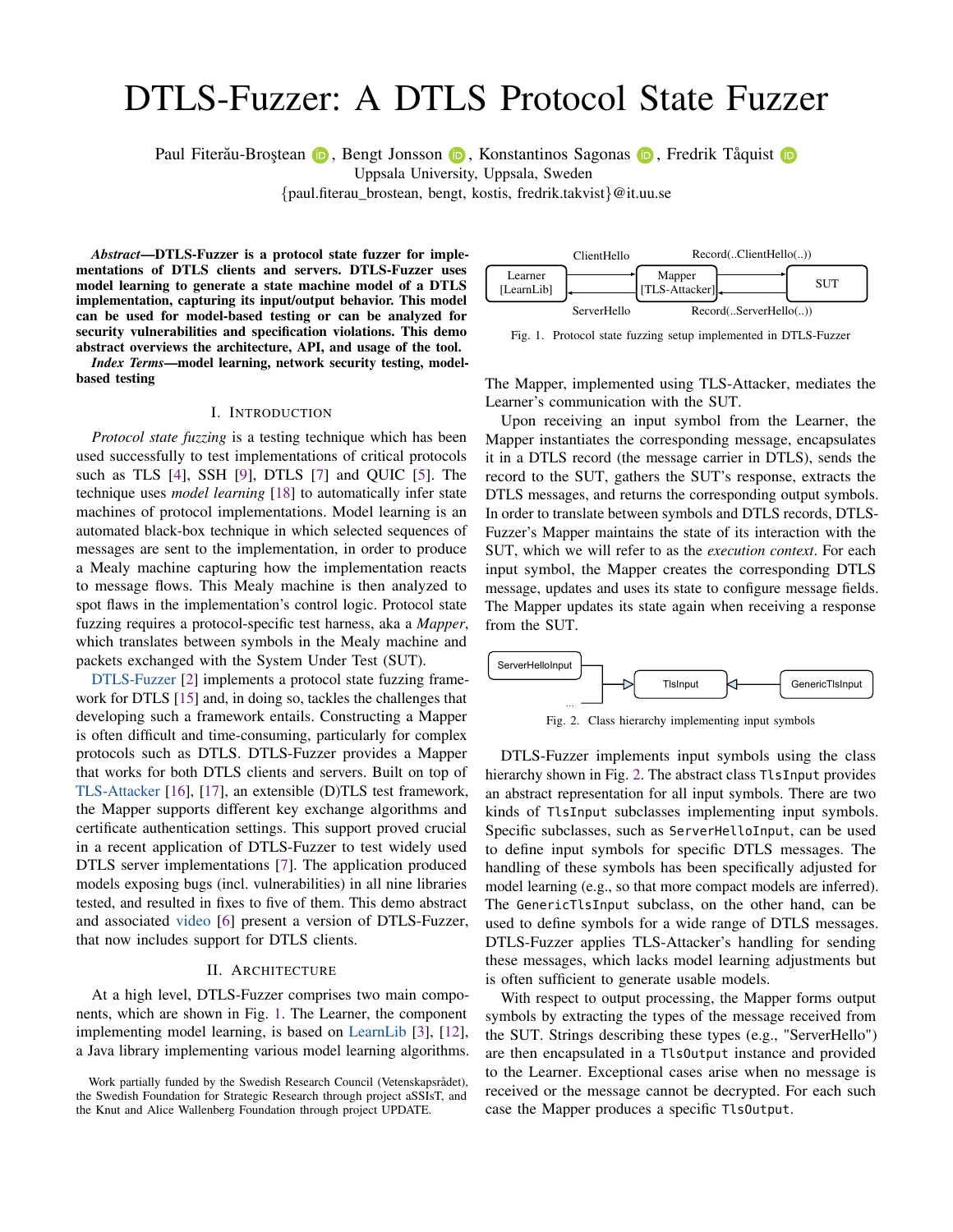# DTLS-Fuzzer: A DTLS Protocol State Fuzzer

Paul Fiterau-Broștean (D, Bengt Jonsson (D, Konstantinos Sagonas (D, Fredrik Tåquist (D

Uppsala University, Uppsala, Sweden

{paul.fiterau\_brostean, bengt, kostis, fredrik.takvist}@it.uu.se

*Abstract*—DTLS-Fuzzer is a protocol state fuzzer for implementations of DTLS clients and servers. DTLS-Fuzzer uses model learning to generate a state machine model of a DTLS implementation, capturing its input/output behavior. This model can be used for model-based testing or can be analyzed for security vulnerabilities and specification violations. This demo abstract overviews the architecture, API, and usage of the tool.

*Index Terms*—model learning, network security testing, modelbased testing

#### I. INTRODUCTION

*Protocol state fuzzing* is a testing technique which has been used successfully to test implementations of critical protocols such as TLS [\[4\]](#page-2-0), SSH [\[9\]](#page-2-1), DTLS [\[7\]](#page-2-2) and QUIC [\[5\]](#page-2-3). The technique uses *model learning* [\[18\]](#page-2-4) to automatically infer state machines of protocol implementations. Model learning is an automated black-box technique in which selected sequences of messages are sent to the implementation, in order to produce a Mealy machine capturing how the implementation reacts to message flows. This Mealy machine is then analyzed to spot flaws in the implementation's control logic. Protocol state fuzzing requires a protocol-specific test harness, aka a *Mapper*, which translates between symbols in the Mealy machine and packets exchanged with the System Under Test (SUT).

[DTLS-Fuzzer](https://github.com/assist-project/dtls-fuzzer) [\[2\]](#page-2-5) implements a protocol state fuzzing framework for DTLS [\[15\]](#page-2-6) and, in doing so, tackles the challenges that developing such a framework entails. Constructing a Mapper is often difficult and time-consuming, particularly for complex protocols such as DTLS. DTLS-Fuzzer provides a Mapper that works for both DTLS clients and servers. Built on top of [TLS-Attacker](https://github.com/tls-attacker/TLS-Attacker) [\[16\]](#page-2-7), [\[17\]](#page-2-8), an extensible (D)TLS test framework, the Mapper supports different key exchange algorithms and certificate authentication settings. This support proved crucial in a recent application of DTLS-Fuzzer to test widely used DTLS server implementations [\[7\]](#page-2-2). The application produced models exposing bugs (incl. vulnerabilities) in all nine libraries tested, and resulted in fixes to five of them. This demo abstract and associated [video](https://youtu.be/KtEpwYC-f9M) [\[6\]](#page-2-9) present a version of DTLS-Fuzzer, that now includes support for DTLS clients.

## II. ARCHITECTURE

At a high level, DTLS-Fuzzer comprises two main components, which are shown in Fig. [1.](#page-0-0) The Learner, the component implementing model learning, is based on [LearnLib](https://learnlib.de/) [\[3\]](#page-2-10), [\[12\]](#page-2-11), a Java library implementing various model learning algorithms.

Work partially funded by the Swedish Research Council (Vetenskapsrådet), the Swedish Foundation for Strategic Research through project aSSIsT, and the Knut and Alice Wallenberg Foundation through project UPDATE.



<span id="page-0-0"></span>Fig. 1. Protocol state fuzzing setup implemented in DTLS-Fuzzer

The Mapper, implemented using TLS-Attacker, mediates the Learner's communication with the SUT.

Upon receiving an input symbol from the Learner, the Mapper instantiates the corresponding message, encapsulates it in a DTLS record (the message carrier in DTLS), sends the record to the SUT, gathers the SUT's response, extracts the DTLS messages, and returns the corresponding output symbols. In order to translate between symbols and DTLS records, DTLS-Fuzzer's Mapper maintains the state of its interaction with the SUT, which we will refer to as the *execution context*. For each input symbol, the Mapper creates the corresponding DTLS message, updates and uses its state to configure message fields. The Mapper updates its state again when receiving a response from the SUT.



<span id="page-0-1"></span>Fig. 2. Class hierarchy implementing input symbols

DTLS-Fuzzer implements input symbols using the class hierarchy shown in Fig. [2.](#page-0-1) The abstract class TlsInput provides an abstract representation for all input symbols. There are two kinds of TlsInput subclasses implementing input symbols. Specific subclasses, such as ServerHelloInput, can be used to define input symbols for specific DTLS messages. The handling of these symbols has been specifically adjusted for model learning (e.g., so that more compact models are inferred). The GenericTlsInput subclass, on the other hand, can be used to define symbols for a wide range of DTLS messages. DTLS-Fuzzer applies TLS-Attacker's handling for sending these messages, which lacks model learning adjustments but is often sufficient to generate usable models.

With respect to output processing, the Mapper forms output symbols by extracting the types of the message received from the SUT. Strings describing these types (e.g., "ServerHello") are then encapsulated in a TlsOutput instance and provided to the Learner. Exceptional cases arise when no message is received or the message cannot be decrypted. For each such case the Mapper produces a specific TlsOutput.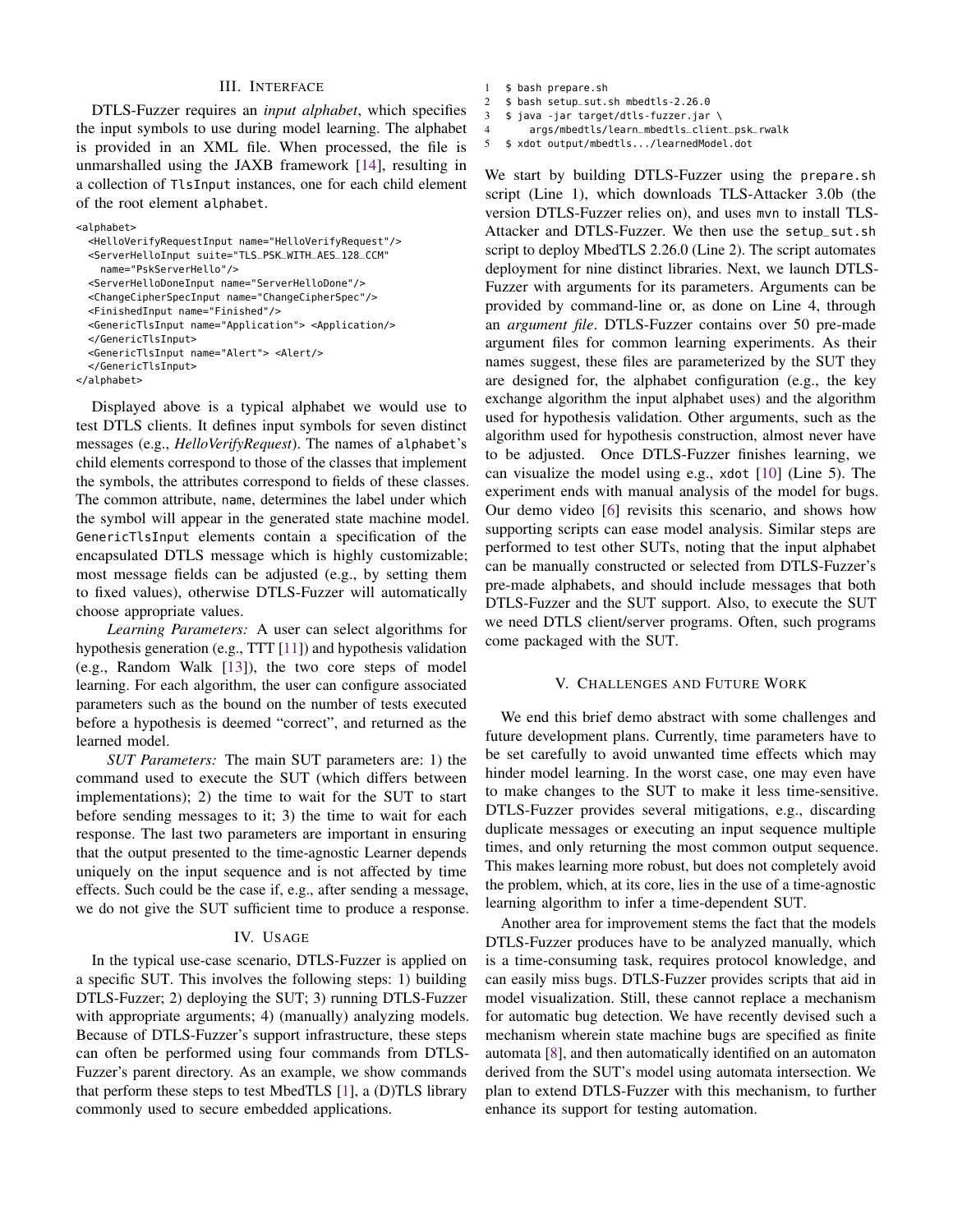## III. INTERFACE

DTLS-Fuzzer requires an *input alphabet*, which specifies the input symbols to use during model learning. The alphabet is provided in an XML file. When processed, the file is unmarshalled using the JAXB framework [\[14\]](#page-2-12), resulting in a collection of TlsInput instances, one for each child element of the root element alphabet.

```
<alphabet>
  <HelloVerifyRequestInput name="HelloVerifyRequest"/>
 <ServerHelloInput suite="TLS_PSK_WITH_AES_128_CCM"
   name="PskServerHello"/>
 <ServerHelloDoneInput name="ServerHelloDone"/>
 <ChangeCipherSpecInput name="ChangeCipherSpec"/>
  <FinishedInput name="Finished"/>
 <GenericTlsInput name="Application"> <Application/>
 </GenericTlsInput>
  <GenericTlsInput name="Alert"> <Alert/>
 </GenericTlsInput>
</alphabet>
```
Displayed above is a typical alphabet we would use to test DTLS clients. It defines input symbols for seven distinct messages (e.g., *HelloVerifyRequest*). The names of alphabet's child elements correspond to those of the classes that implement the symbols, the attributes correspond to fields of these classes. The common attribute, name, determines the label under which the symbol will appear in the generated state machine model. GenericTlsInput elements contain a specification of the encapsulated DTLS message which is highly customizable; most message fields can be adjusted (e.g., by setting them to fixed values), otherwise DTLS-Fuzzer will automatically choose appropriate values.

*Learning Parameters:* A user can select algorithms for hypothesis generation (e.g., TTT [\[11\]](#page-2-13)) and hypothesis validation (e.g., Random Walk [\[13\]](#page-2-14)), the two core steps of model learning. For each algorithm, the user can configure associated parameters such as the bound on the number of tests executed before a hypothesis is deemed "correct", and returned as the learned model.

*SUT Parameters:* The main SUT parameters are: 1) the command used to execute the SUT (which differs between implementations); 2) the time to wait for the SUT to start before sending messages to it; 3) the time to wait for each response. The last two parameters are important in ensuring that the output presented to the time-agnostic Learner depends uniquely on the input sequence and is not affected by time effects. Such could be the case if, e.g., after sending a message, we do not give the SUT sufficient time to produce a response.

#### IV. USAGE

In the typical use-case scenario, DTLS-Fuzzer is applied on a specific SUT. This involves the following steps: 1) building DTLS-Fuzzer; 2) deploying the SUT; 3) running DTLS-Fuzzer with appropriate arguments; 4) (manually) analyzing models. Because of DTLS-Fuzzer's support infrastructure, these steps can often be performed using four commands from DTLS-Fuzzer's parent directory. As an example, we show commands that perform these steps to test MbedTLS [\[1\]](#page-2-15), a (D)TLS library commonly used to secure embedded applications.

- 1 \$ bash prepare.sh
- 2 \$ bash setup\_sut.sh mbedtls-2.26.0
- 3 \$ java -jar target/dtls-fuzzer.jar \
- 4 args/mbedtls/learn\_mbedtls\_client\_psk\_rwalk

```
5 $ xdot output/mbedtls.../learnedModel.dot
```
We start by building DTLS-Fuzzer using the prepare.sh script (Line 1), which downloads TLS-Attacker 3.0b (the version DTLS-Fuzzer relies on), and uses mvn to install TLS-Attacker and DTLS-Fuzzer. We then use the setup\_sut.sh script to deploy MbedTLS 2.26.0 (Line 2). The script automates deployment for nine distinct libraries. Next, we launch DTLS-Fuzzer with arguments for its parameters. Arguments can be provided by command-line or, as done on Line 4, through an *argument file*. DTLS-Fuzzer contains over 50 pre-made argument files for common learning experiments. As their names suggest, these files are parameterized by the SUT they are designed for, the alphabet configuration (e.g., the key exchange algorithm the input alphabet uses) and the algorithm used for hypothesis validation. Other arguments, such as the algorithm used for hypothesis construction, almost never have to be adjusted. Once DTLS-Fuzzer finishes learning, we can visualize the model using e.g., xdot [\[10\]](#page-2-16) (Line 5). The experiment ends with manual analysis of the model for bugs. Our demo video [\[6\]](#page-2-9) revisits this scenario, and shows how supporting scripts can ease model analysis. Similar steps are performed to test other SUTs, noting that the input alphabet can be manually constructed or selected from DTLS-Fuzzer's pre-made alphabets, and should include messages that both DTLS-Fuzzer and the SUT support. Also, to execute the SUT we need DTLS client/server programs. Often, such programs come packaged with the SUT.

## V. CHALLENGES AND FUTURE WORK

We end this brief demo abstract with some challenges and future development plans. Currently, time parameters have to be set carefully to avoid unwanted time effects which may hinder model learning. In the worst case, one may even have to make changes to the SUT to make it less time-sensitive. DTLS-Fuzzer provides several mitigations, e.g., discarding duplicate messages or executing an input sequence multiple times, and only returning the most common output sequence. This makes learning more robust, but does not completely avoid the problem, which, at its core, lies in the use of a time-agnostic learning algorithm to infer a time-dependent SUT.

Another area for improvement stems the fact that the models DTLS-Fuzzer produces have to be analyzed manually, which is a time-consuming task, requires protocol knowledge, and can easily miss bugs. DTLS-Fuzzer provides scripts that aid in model visualization. Still, these cannot replace a mechanism for automatic bug detection. We have recently devised such a mechanism wherein state machine bugs are specified as finite automata [\[8\]](#page-2-17), and then automatically identified on an automaton derived from the SUT's model using automata intersection. We plan to extend DTLS-Fuzzer with this mechanism, to further enhance its support for testing automation.